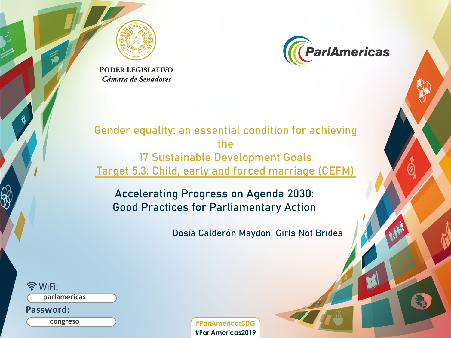



**PODER LEGISLATIVO** Cámara de Senadores

#### Gender equality: an essential condition for achieving the 17 Sustainable Development Goals Target 5.3: Child, early and forced marriage (CEFM)

Accelerating Progress on Agenda 2030: Good Practices for Parliamentary Action

Dosia Calderón Maydon, Girls Not Brides

 $\widehat{\mathbb{R}}$  WiFi:

**parlamericas**

**Password:**

**congreso**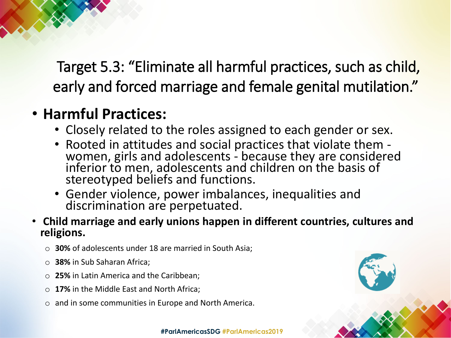Target 5.3: "Eliminate all harmful practices, such as child, early and forced marriage and female genital mutilation."

## • **Harmful Practices:**

- Closely related to the roles assigned to each gender or sex.
- Rooted in attitudes and social practices that violate them women, girls and adolescents because they are considered inferior to men, adolescents and children on the basis of stereotyped beliefs and functions.
- Gender violence, power imbalances, inequalities and discrimination are perpetuated.
- **Child marriage and early unions happen in different countries, cultures and religions.**
	- o **30%** of adolescents under 18 are married in South Asia;
	- o **38%** in Sub Saharan Africa;
	- o **25%** in Latin America and the Caribbean;
	- o **17%** in the Middle East and North Africa;
	- o and in some communities in Europe and North America.

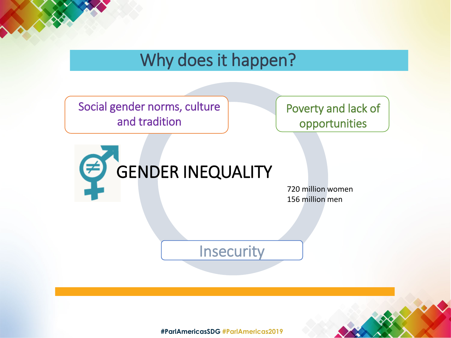## Why does it happen?

Social gender norms, culture and tradition

Poverty and lack of opportunities



720 million women 156 million men

**Insecurity**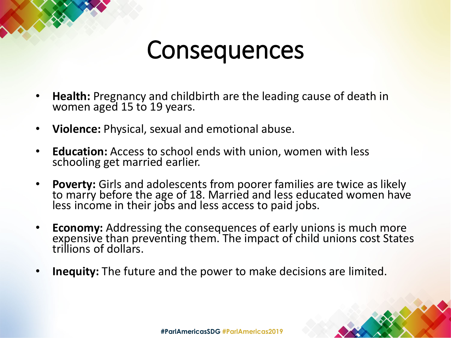## **Consequences**

- **Health:** Pregnancy and childbirth are the leading cause of death in women aged 15 to 19 years.
- **Violence:** Physical, sexual and emotional abuse.
- **Education:** Access to school ends with union, women with less schooling get married earlier.
- **Poverty:** Girls and adolescents from poorer families are twice as likely to marry before the age of 18. Married and less educated women have less income in their jobs and less access to paid jobs.
- **Economy:** Addressing the consequences of early unions is much more expensive than preventing them. The impact of child unions cost States trillions of dollars.
- **Inequity:** The future and the power to make decisions are limited.

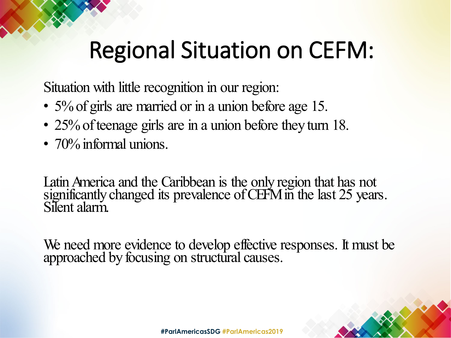# Regional Situation on CEFM:

Situation with little recognition in our region:

- 5% of girls are married or in a union before age 15.
- 25% of teenage girls are in a union before they turn 18.
- 70% informal unions.

Latin America and the Caribbean is the only region that has not significantly changed its prevalence of CEFM in the last 25 years. Silent alarm.

We need more evidence to develop effective responses. It must be approached by focusing on structural causes.

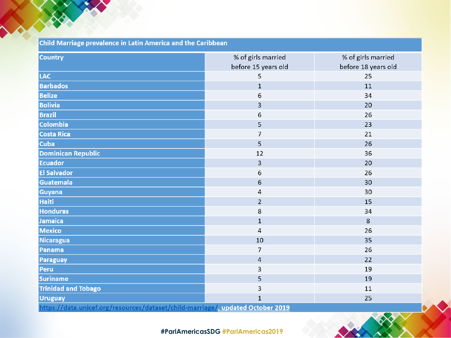| Child Marriage prevalence in Latin America and the Caribbean                    |                         |                     |
|---------------------------------------------------------------------------------|-------------------------|---------------------|
| <b>Country</b>                                                                  | % of girls married      | % of girls married  |
|                                                                                 | before 15 years old     | before 18 years old |
| <b>LAC</b>                                                                      | 5                       | 25                  |
| <b>Barbados</b>                                                                 | $\mathbf{1}$            | 11                  |
| <b>Belize</b>                                                                   | 6                       | 34                  |
| <b>Bolivia</b>                                                                  | 3                       | 20                  |
| <b>Brazil</b>                                                                   | 6                       | 26                  |
| <b>Colombia</b>                                                                 | 5                       | 23                  |
| <b>Costa Rica</b>                                                               | $\overline{7}$          | 21                  |
| <b>Cuba</b>                                                                     | 5                       | 26                  |
| <b>Dominican Republic</b>                                                       | 12                      | 36                  |
| <b>Ecuador</b>                                                                  | $\overline{\mathbf{3}}$ | 20                  |
| <b>El Salvador</b>                                                              | 6                       | 26                  |
| <b>Guatemala</b>                                                                | 6                       | 30                  |
| <b>Guyana</b>                                                                   | $\sqrt{4}$              | 30                  |
| <b>Haiti</b>                                                                    | $\overline{2}$          | 15                  |
| <b>Honduras</b>                                                                 | 8                       | 34                  |
| Jamaica                                                                         | $\mathbf{1}$            | 8                   |
| <b>Mexico</b>                                                                   | $\overline{4}$          | 26                  |
| <b>Nicaragua</b>                                                                | 10                      | 35                  |
| <b>Panama</b>                                                                   | $\overline{7}$          | 26                  |
| <b>Paraguay</b>                                                                 | $\sqrt{4}$              | 22                  |
| <b>Peru</b>                                                                     | 3                       | 19                  |
| <b>Suriname</b>                                                                 | 5                       | 19                  |
| <b>Trinidad and Tobago</b>                                                      | 3                       | 11                  |
| <b>Uruguay</b>                                                                  | $\mathbf{1}$            | 25                  |
| https://data.unicef.org/resources/dataset/child-marriage/, updated October 2019 |                         |                     |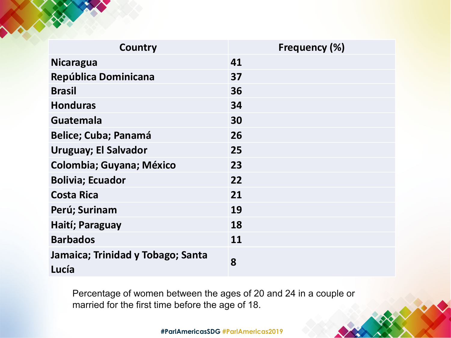| <b>Country</b>                             | Frequency (%) |
|--------------------------------------------|---------------|
| <b>Nicaragua</b>                           | 41            |
| República Dominicana                       | 37            |
| <b>Brasil</b>                              | 36            |
| <b>Honduras</b>                            | 34            |
| <b>Guatemala</b>                           | 30            |
| <b>Belice; Cuba; Panamá</b>                | 26            |
| <b>Uruguay; El Salvador</b>                | 25            |
| <b>Colombia; Guyana; México</b>            | 23            |
| <b>Bolivia; Ecuador</b>                    | 22            |
| <b>Costa Rica</b>                          | 21            |
| Perú; Surinam                              | 19            |
| Haití; Paraguay                            | 18            |
| <b>Barbados</b>                            | 11            |
| Jamaica; Trinidad y Tobago; Santa<br>Lucía | 8             |

Percentage of women between the ages of 20 and 24 in a couple or married for the first time before the age of 18.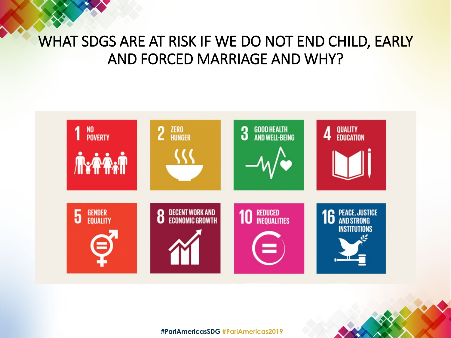## WHAT SDGS ARE AT RISK IF WE DO NOT END CHILD, EARLY AND FORCED MARRIAGE AND WHY?